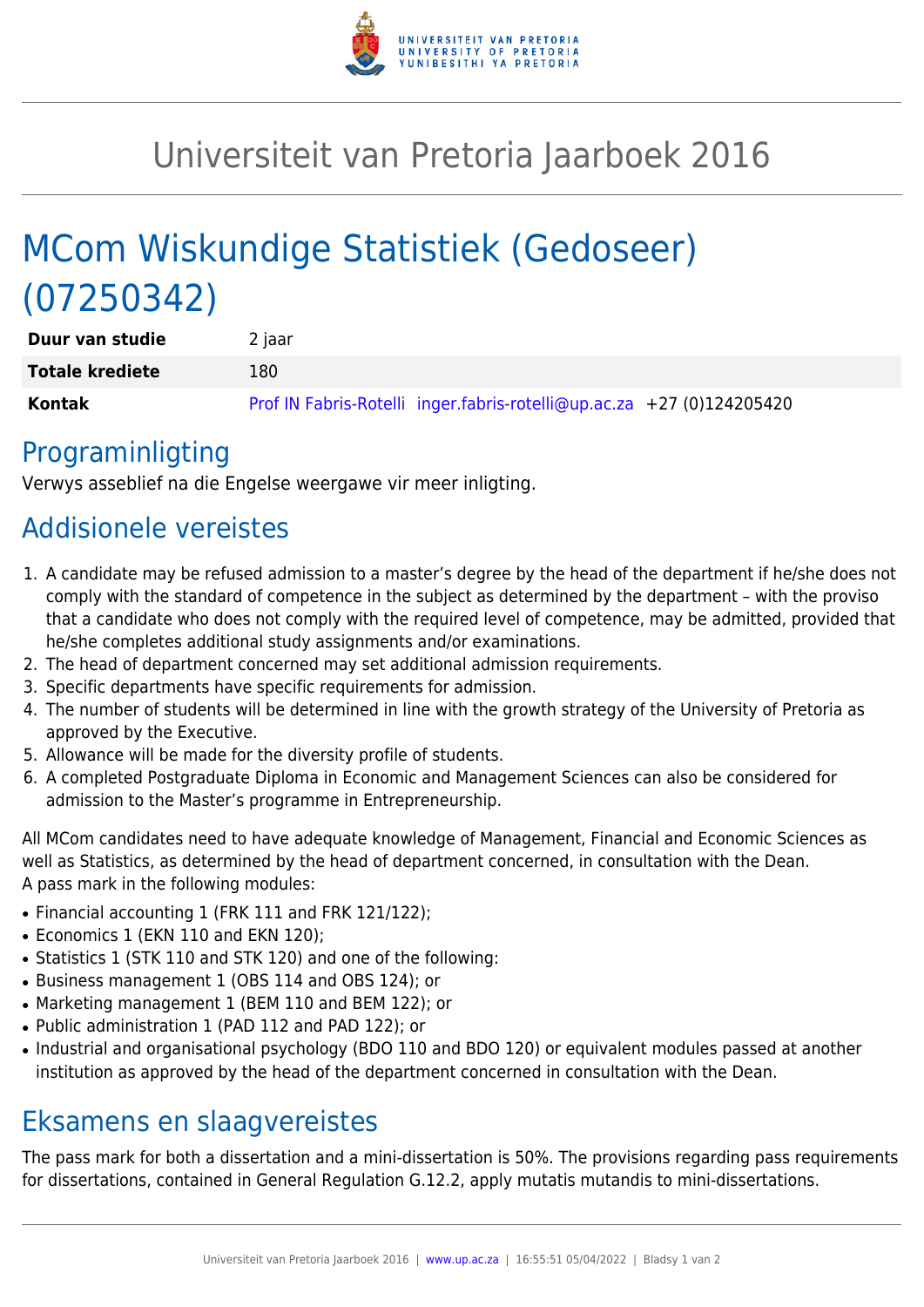

## Universiteit van Pretoria Jaarboek 2016

# MCom Wiskundige Statistiek (Gedoseer) (07250342)

| Duur van studie        | 2 jaar                                                                |
|------------------------|-----------------------------------------------------------------------|
| <b>Totale krediete</b> | 180                                                                   |
| Kontak                 | Prof IN Fabris-Rotelli inger.fabris-rotelli@up.ac.za +27 (0)124205420 |

### Programinligting

Verwys asseblief na die Engelse weergawe vir meer inligting.

### Addisionele vereistes

- 1. A candidate may be refused admission to a master's degree by the head of the department if he/she does not comply with the standard of competence in the subject as determined by the department – with the proviso that a candidate who does not comply with the required level of competence, may be admitted, provided that he/she completes additional study assignments and/or examinations.
- 2. The head of department concerned may set additional admission requirements.
- 3. Specific departments have specific requirements for admission.
- 4. The number of students will be determined in line with the growth strategy of the University of Pretoria as approved by the Executive.
- 5. Allowance will be made for the diversity profile of students.
- 6. A completed Postgraduate Diploma in Economic and Management Sciences can also be considered for admission to the Master's programme in Entrepreneurship.

All MCom candidates need to have adequate knowledge of Management, Financial and Economic Sciences as well as Statistics, as determined by the head of department concerned, in consultation with the Dean. A pass mark in the following modules:

- Financial accounting 1 (FRK 111 and FRK 121/122);
- Economics 1 (EKN 110 and EKN 120);
- Statistics 1 (STK 110 and STK 120) and one of the following:
- Business management 1 (OBS 114 and OBS 124); or
- Marketing management 1 (BEM 110 and BEM 122); or
- Public administration 1 (PAD 112 and PAD 122); or
- Industrial and organisational psychology (BDO 110 and BDO 120) or equivalent modules passed at another institution as approved by the head of the department concerned in consultation with the Dean.

### Eksamens en slaagvereistes

The pass mark for both a dissertation and a mini-dissertation is 50%. The provisions regarding pass requirements for dissertations, contained in General Regulation G.12.2, apply mutatis mutandis to mini-dissertations.